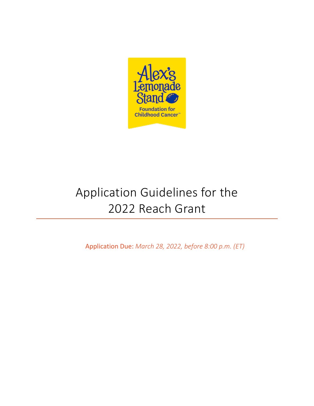

# Application Guidelines for the 2022 Reach Grant

Application Due: *March 28, 2022, before 8:00 p.m. (ET)*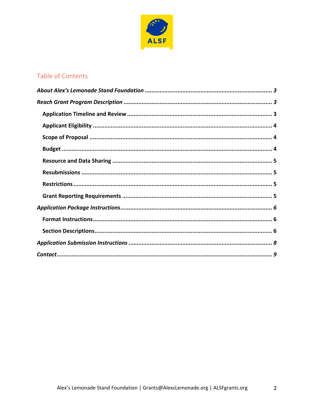

# Table of Contents

<span id="page-1-0"></span> $\overline{2}$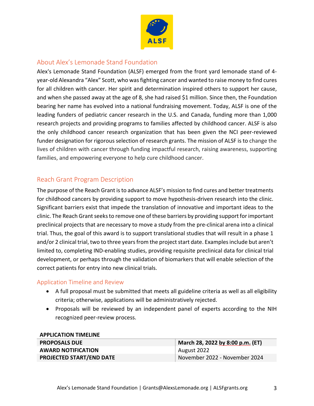

## About Alex's Lemonade Stand Foundation

Alex's Lemonade Stand Foundation (ALSF) emerged from the front yard lemonade stand of 4 year-old Alexandra "Alex" Scott, who was fighting cancer and wanted to raise money to find cures for all children with cancer. Her spirit and determination inspired others to support her cause, and when she passed away at the age of 8, she had raised \$1 million. Since then, the Foundation bearing her name has evolved into a national fundraising movement. Today, ALSF is one of the leading funders of pediatric cancer research in the U.S. and Canada, funding more than 1,000 research projects and providing programs to families affected by childhood cancer. ALSF is also the only childhood cancer research organization that has been given the NCI peer-reviewed funder designation for rigorous selection of research grants. The mission of ALSF is to change the lives of children with cancer through funding impactful research, raising awareness, supporting families, and empowering everyone to help cure childhood cancer.

### <span id="page-2-0"></span>Reach Grant Program Description

<span id="page-2-1"></span>The purpose of the Reach Grant isto advance ALSF's mission to find cures and better treatments for childhood cancers by providing support to move hypothesis-driven research into the clinic. Significant barriers exist that impede the translation of innovative and important ideas to the clinic. The Reach Grant seeks to remove one of these barriers by providing support for important preclinical projects that are necessary to move a study from the pre-clinical arena into a clinical trial. Thus, the goal of this award is to support translational studies that will result in a phase 1 and/or 2 clinical trial, two to three years from the project start date. Examples include but aren't limited to, completing IND-enabling studies, providing requisite preclinical data for clinical trial development, or perhaps through the validation of biomarkers that will enable selection of the correct patients for entry into new clinical trials.

#### Application Timeline and Review

- A full proposal must be submitted that meets all guideline criteria as well as all eligibility criteria; otherwise, applications will be administratively rejected.
- Proposals will be reviewed by an independent panel of experts according to the NIH recognized peer-review process.

| $A$ $\cup$                      |                                  |
|---------------------------------|----------------------------------|
| <b>PROPOSALS DUE</b>            | March 28, 2022 by 8:00 p.m. (ET) |
| <b>AWARD NOTIFICATION</b>       | August 2022                      |
| <b>PROJECTED START/END DATE</b> | November 2022 - November 2024    |

#### **APPLICATION TIMELINE**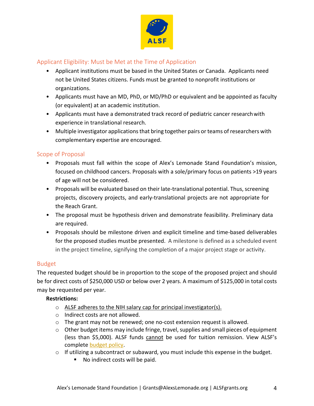

#### <span id="page-3-0"></span>Applicant Eligibility: Must be Met at the Time of Application

- Applicant institutions must be based in the United States or Canada. Applicants need not be United States citizens. Funds must be granted to nonprofit institutions or organizations.
- <span id="page-3-1"></span>• Applicants must have an MD, PhD, or MD/PhD or equivalent and be appointed as faculty (or equivalent) at an academic institution.
- Applicants must have a demonstrated track record of pediatric cancer researchwith experience in translational research.
- Multiple investigator applications that bring together pairs or teams of researchers with complementary expertise are encouraged.

#### Scope of Proposal

- Proposals must fall within the scope of Alex's Lemonade Stand Foundation's mission, focused on childhood cancers. Proposals with a sole/primary focus on patients >19 years of age will not be considered.
- <span id="page-3-2"></span>• Proposals will be evaluated based on their late-translational potential. Thus, screening projects, discovery projects, and early-translational projects are not appropriate for the Reach Grant.
- The proposal must be hypothesis driven and demonstrate feasibility. Preliminary data are required.
- Proposals should be milestone driven and explicit timeline and time-based deliverables for the proposed studies mustbe presented. A milestone is defined as a scheduled event in the project timeline, signifying the completion of a major project stage or activity.

#### Budget

The requested budget should be in proportion to the scope of the proposed project and should be for direct costs of \$250,000 USD or below over 2 years. A maximum of \$125,000 in total costs may be requested per year.

#### **Restrictions:**

- o ALSF adheres to the NIH salary cap for principal investigator(s).
- o Indirect costs are not allowed.
- $\circ$  The grant may not be renewed; one no-cost extension request is allowed.
- o Other budget items may include fringe, travel, supplies and small pieces of equipment (less than \$5,000). ALSF funds cannot be used for tuition remission. View ALSF's complet[e budget policy.](https://www.alexslemonade.org/sites/default/files/images/alsf1/alsf_allowable_expense_policy_1.26.22.pdf)
- o If utilizing a subcontract or subaward, you must include this expense in the budget.
	- No indirect costs will be paid.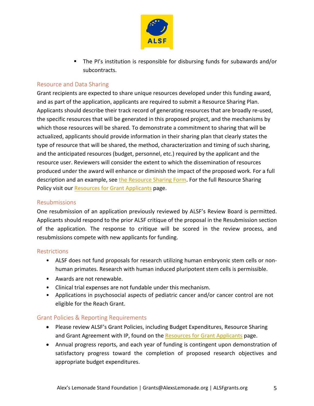

**The PI's institution is responsible for disbursing funds for subawards and/or** subcontracts.

#### <span id="page-4-0"></span>Resource and Data Sharing

Grant recipients are expected to share unique resources developed under this funding award, and as part of the application, applicants are required to submit a Resource Sharing Plan. Applicants should describe their track record of generating resources that are broadly re-used, the specific resources that will be generated in this proposed project, and the mechanisms by which those resources will be shared. To demonstrate a commitment to sharing that will be actualized, applicants should provide information in their sharing plan that clearly states the type of resource that will be shared, the method, characterization and timing of such sharing, and the anticipated resources (budget, personnel, etc.) required by the applicant and the resource user. Reviewers will consider the extent to which the dissemination of resources produced under the award will enhance or diminish the impact of the proposed work. For a full description and an example, see [the Resource Sharing Form.](https://www.alexslemonade.org/sites/default/files/images/alsf1/resource_sharing_form_all_grants_final_10.29.21.docx) For the full Resource Sharing Policy visit our Resources [for Grant Applicants](https://www.alexslemonade.org/researchers-reviewers/applicants#resources) page.

#### <span id="page-4-1"></span>Resubmissions

One resubmission of an application previously reviewed by ALSF's Review Board is permitted. Applicants should respond to the prior ALSF critique of the proposal in the Resubmission section of the application. The response to critique will be scored in the review process, and resubmissions compete with new applicants for funding.

#### <span id="page-4-2"></span>**Restrictions**

- ALSF does not fund proposals for research utilizing human embryonic stem cells or nonhuman primates. Research with human induced pluripotent stem cells is permissible.
- <span id="page-4-3"></span>• Awards are not renewable.
- Clinical trial expenses are not fundable under this mechanism.
- Applications in psychosocial aspects of pediatric cancer and/or cancer control are not eligible for the Reach Grant.

#### Grant Policies & Reporting Requirements

- Please review ALSF's Grant Policies, including Budget Expenditures, Resource Sharing and Grant Agreement with IP, found on the [Resources for Grant Applicants](https://www.alexslemonade.org/researchers-reviewers/applicants#resources) page.
- Annual progress reports, and each year of funding is contingent upon demonstration of satisfactory progress toward the completion of proposed research objectives and appropriate budget expenditures.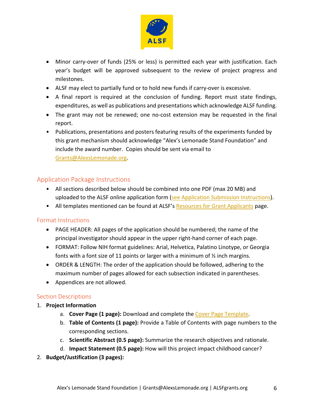

- Minor carry-over of funds (25% or less) is permitted each year with justification. Each year's budget will be approved subsequent to the review of project progress and milestones.
- ALSF may elect to partially fund or to hold new funds if carry-over is excessive.
- A final report is required at the conclusion of funding. Report must state findings, expenditures, as well as publications and presentations which acknowledge ALSF funding.
- The grant may not be renewed; one no-cost extension may be requested in the final report.
- Publications, presentations and posters featuring results of the experiments funded by this grant mechanism should acknowledge "Alex's Lemonade Stand Foundation" and include the award number. Copies should be sent via email to [Grants@AlexsLemonade.org.](mailto:Grants@AlexsLemonade.org)

# <span id="page-5-0"></span>Application Package Instructions

- All sections described below should be combined into one PDF (max 20 MB) and uploaded to the ALSF online application form [\(see Application Submission Instructions\)](#page-7-0).
- All templates mentioned can be found at ALSF's Resources [for Grant Applicants](https://www.alexslemonade.org/researchers-reviewers/applicants#resources) page.

#### <span id="page-5-1"></span>Format Instructions

- PAGE HEADER: All pages of the application should be numbered; the name of the principal investigator should appear in the upper right-hand corner of each page.
- FORMAT: Follow NIH format guidelines: Arial, Helvetica, Palatino Linotype, or Georgia fonts with a font size of 11 points or larger with a minimum of ½ inch margins.
- ORDER & LENGTH: The order of the application should be followed, adhering to the maximum number of pages allowed for each subsection indicated in parentheses.
- Appendices are not allowed.

#### <span id="page-5-2"></span>Section Descriptions

#### 1. **Project Information**

- a. **Cover Page (1 page):** Download and complete the [Cover Page Template.](https://www.alexslemonade.org/sites/default/files/images/2020/alsf_application_cover_page_20201.docx)
- b. **Table of Contents (1 page):** Provide a Table of Contents with page numbers to the corresponding sections.
- c. **Scientific Abstract (0.5 page):** Summarize the research objectives and rationale.
- d. **Impact Statement (0.5 page):** How will this project impact childhood cancer?
- 2. **Budget/Justification (3 pages):**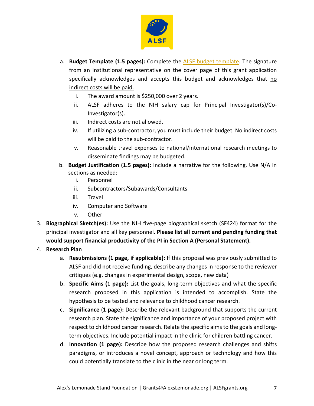

- a. **Budget Template (1.5 pages):** Complete the [ALSF budget template.](https://www.alexslemonade.org/sites/default/files/images/alsf1/alsf_standard_budget_report_rev_nov21.xlsx) The signature from an institutional representative on the cover page of this grant application specifically acknowledges and accepts this budget and acknowledges that no indirect costs will be paid.
	- i. The award amount is \$250,000 over 2 years.
	- ii. ALSF adheres to the NIH salary cap for Principal Investigator(s)/Co-Investigator(s).
	- iii. Indirect costs are not allowed.
	- iv. If utilizing a sub-contractor, you must include their budget. No indirect costs will be paid to the sub-contractor.
	- v. Reasonable travel expenses to national/international research meetings to disseminate findings may be budgeted.
- b. **Budget Justification (1.5 pages):** Include a narrative for the following. Use N/A in sections as needed:
	- i. Personnel
	- ii. Subcontractors/Subawards/Consultants
	- iii. Travel
	- iv. Computer and Software
	- v. Other
- 3. **Biographical Sketch(es):** Use the NIH five-page biographical sketch (SF424) format for the principal investigator and all key personnel. **Please list all current and pending funding that would support financial productivity of the PI in Section A (Personal Statement).**

#### 4. **Research Plan**

- a. **Resubmissions (1 page, if applicable):** If this proposal was previously submitted to ALSF and did not receive funding, describe any changes in response to the reviewer critiques (e.g. changes in experimental design, scope, new data)
- b. **Specific Aims (1 page):** List the goals, long-term objectives and what the specific research proposed in this application is intended to accomplish. State the hypothesis to be tested and relevance to childhood cancer research.
- c. **Significance** (**1 page**)**:** Describe the relevant background that supports the current research plan. State the significance and importance of your proposed project with respect to childhood cancer research. Relate the specific aims to the goals and longterm objectives. Include potential impact in the clinic for children battling cancer.
- d. **Innovation (1 page):** Describe how the proposed research challenges and shifts paradigms, or introduces a novel concept, approach or technology and how this could potentially translate to the clinic in the near or long term.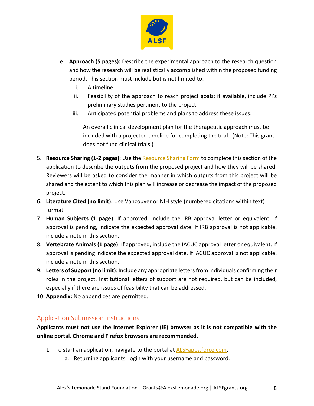

- e. **Approach (5 pages):** Describe the experimental approach to the research question and how the research will be realistically accomplished within the proposed funding period. This section must include but is not limited to:
	- i. A timeline
	- ii. Feasibility of the approach to reach project goals; if available, include PI's preliminary studies pertinent to the project.
	- iii. Anticipated potential problems and plans to address these issues.

An overall clinical development plan for the therapeutic approach must be included with a projected timeline for completing the trial. (Note: This grant does not fund clinical trials.)

- 5. **Resource Sharing (1-2 pages)**: Use the [Resource Sharing Form](https://www.alexslemonade.org/sites/default/files/images/alsf1/resource_sharing_form_all_grants_final_10.29.21.docx) to complete this section of the application to describe the outputs from the proposed project and how they will be shared. Reviewers will be asked to consider the manner in which outputs from this project will be shared and the extent to which this plan will increase or decrease the impact of the proposed project.
- 6. **Literature Cited (no limit):** Use Vancouver or NIH style (numbered citations within text) format.
- 7. **Human Subjects (1 page)**: If approved, include the IRB approval letter or equivalent. If approval is pending, indicate the expected approval date. If IRB approval is not applicable, include a note in this section.
- 8. **Vertebrate Animals (1 page)**: If approved, include the IACUC approval letter or equivalent. If approval is pending indicate the expected approval date. If IACUC approval is not applicable, include a note in this section.
- 9. **Letters of Support(no limit)**: Include any appropriate letters from individuals confirming their roles in the project. Institutional letters of support are not required, but can be included, especially if there are issues of feasibility that can be addressed.
- 10. **Appendix:** No appendices are permitted.

# <span id="page-7-0"></span>Application Submission Instructions

**Applicants must not use the Internet Explorer (IE) browser as it is not compatible with the online portal. Chrome and Firefox browsers are recommended.**

- 1. To start an application, navigate to the portal at [ALSFapps.force.com.](https://alsfapps.force.com/)
	- a. Returning applicants: login with your username and password.